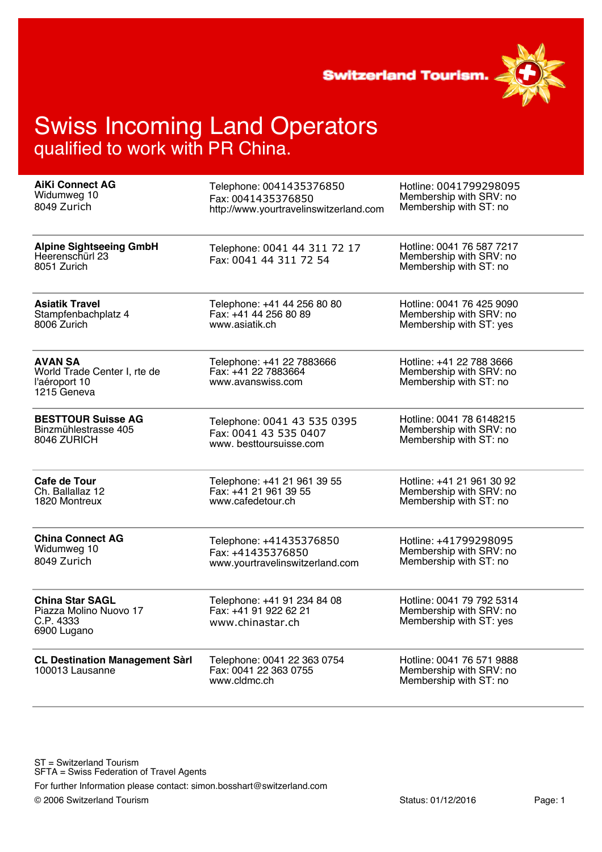**Switzerland Tourism.** 



| <b>AiKi Connect AG</b>                                                         | Telephone: 0041435376850                                                 | Hotline: 0041799298095                                                          |
|--------------------------------------------------------------------------------|--------------------------------------------------------------------------|---------------------------------------------------------------------------------|
| Widumweg 10                                                                    | Fax: 0041435376850                                                       | Membership with SRV: no                                                         |
| 8049 Zurich                                                                    | http://www.yourtravelinswitzerland.com                                   | Membership with ST: no                                                          |
| <b>Alpine Sightseeing GmbH</b><br>Heerenschürl 23<br>8051 Zurich               | Telephone: 0041 44 311 72 17<br>Fax: 0041 44 311 72 54                   | Hotline: 0041 76 587 7217<br>Membership with SRV: no<br>Membership with ST: no  |
| <b>Asiatik Travel</b>                                                          | Telephone: +41 44 256 80 80                                              | Hotline: 0041 76 425 9090                                                       |
| Stampfenbachplatz 4                                                            | Fax: +41 44 256 80 89                                                    | Membership with SRV: no                                                         |
| 8006 Zurich                                                                    | www.asiatik.ch                                                           | Membership with ST: yes                                                         |
| <b>AVAN SA</b><br>World Trade Center I, rte de<br>l'aéroport 10<br>1215 Geneva | Telephone: +41 22 7883666<br>Fax: +41 22 7883664<br>www.avanswiss.com    | Hotline: +41 22 788 3666<br>Membership with SRV: no<br>Membership with ST: no   |
| <b>BESTTOUR Suisse AG</b>                                                      | Telephone: 0041 43 535 0395                                              | Hotline: 0041 78 6148215                                                        |
| Binzmühlestrasse 405                                                           | Fax: 0041 43 535 0407                                                    | Membership with SRV: no                                                         |
| 8046 ZURICH                                                                    | www.besttoursuisse.com                                                   | Membership with ST: no                                                          |
| <b>Cafe de Tour</b>                                                            | Telephone: +41 21 961 39 55                                              | Hotline: +41 21 961 30 92                                                       |
| Ch. Ballallaz 12                                                               | Fax: +41 21 961 39 55                                                    | Membership with SRV: no                                                         |
| 1820 Montreux                                                                  | www.cafedetour.ch                                                        | Membership with ST: no                                                          |
| <b>China Connect AG</b>                                                        | Telephone: +41435376850                                                  | Hotline: +41799298095                                                           |
| Widumweg 10                                                                    | Fax: +41435376850                                                        | Membership with SRV: no                                                         |
| 8049 Zurich                                                                    | www.yourtravelinswitzerland.com                                          | Membership with ST: no                                                          |
| <b>China Star SAGL</b><br>Piazza Molino Nuovo 17<br>C.P. 4333<br>6900 Lugano   | Telephone: +41 91 234 84 08<br>Fax: +41 91 922 62 21<br>www.chinastar.ch | Hotline: 0041 79 792 5314<br>Membership with SRV: no<br>Membership with ST: yes |
| <b>CL Destination Management Sàrl</b><br>100013 Lausanne                       | Telephone: 0041 22 363 0754<br>Fax: 0041 22 363 0755<br>www.cldmc.ch     | Hotline: 0041 76 571 9888<br>Membership with SRV: no<br>Membership with ST: no  |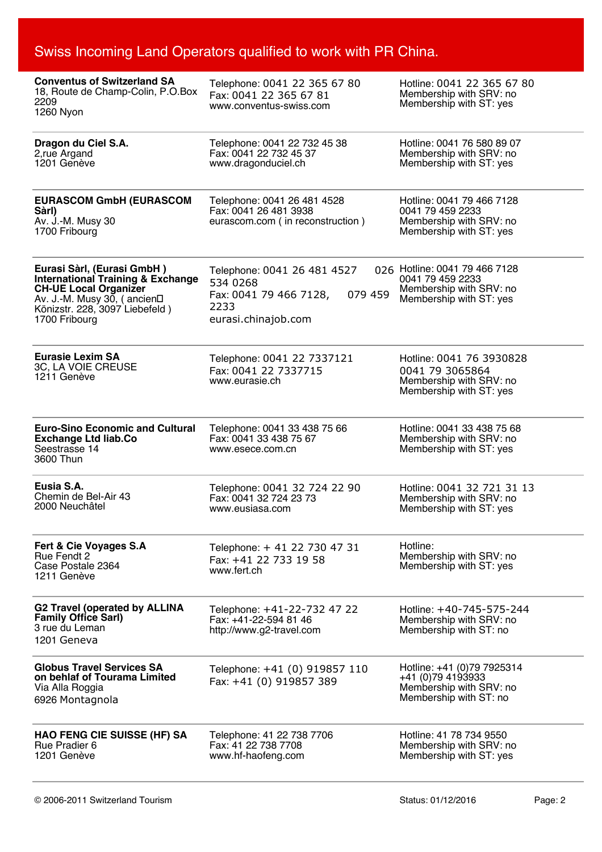| <b>Conventus of Switzerland SA</b><br>18, Route de Champ-Colin, P.O.Box<br>2209<br>1260 Nyon                                                                                                 | Telephone: 0041 22 365 67 80<br>Fax: 0041 22 365 67 81<br>www.conventus-swiss.com                           | Hotline: 0041 22 365 67 80<br>Membership with SRV: no<br>Membership with ST: yes                        |
|----------------------------------------------------------------------------------------------------------------------------------------------------------------------------------------------|-------------------------------------------------------------------------------------------------------------|---------------------------------------------------------------------------------------------------------|
| Dragon du Ciel S.A.<br>2, rue Argand<br>1201 Genève                                                                                                                                          | Telephone: 0041 22 732 45 38<br>Fax: 0041 22 732 45 37<br>www.dragonduciel.ch                               | Hotline: 0041 76 580 89 07<br>Membership with SRV: no<br>Membership with ST: yes                        |
| <b>EURASCOM GmbH (EURASCOM</b><br>Sàrl)<br>Av. J.-M. Musy 30<br>1700 Fribourg                                                                                                                | Telephone: 0041 26 481 4528<br>Fax: 0041 26 481 3938<br>eurascom.com (in reconstruction)                    | Hotline: 0041 79 466 7128<br>0041 79 459 2233<br>Membership with SRV: no<br>Membership with ST: yes     |
| Eurasi Sàrl, (Eurasi GmbH)<br><b>International Training &amp; Exchange</b><br><b>CH-UE Local Organizer</b><br>Av. J.-M. Musy 30, (ancien□<br>Könizstr. 228, 3097 Liebefeld)<br>1700 Fribourg | Telephone: 0041 26 481 4527<br>534 0268<br>079 459<br>Fax: 0041 79 466 7128,<br>2233<br>eurasi.chinajob.com | 026 Hotline: 0041 79 466 7128<br>0041 79 459 2233<br>Membership with SRV: no<br>Membership with ST: yes |
| <b>Eurasie Lexim SA</b><br>3C, LA VOIE CREUSE<br>1211 Genève                                                                                                                                 | Telephone: 0041 22 7337121<br>Fax: 0041 22 7337715<br>www.eurasie.ch                                        | Hotline: 0041 76 3930828<br>0041 79 3065864<br>Membership with SRV: no<br>Membership with ST: yes       |
| <b>Euro-Sino Economic and Cultural</b><br><b>Exchange Ltd liab.Co</b><br>Seestrasse 14<br>3600 Thun                                                                                          | Telephone: 0041 33 438 75 66<br>Fax: 0041 33 438 75 67<br>www.esece.com.cn                                  | Hotline: 0041 33 438 75 68<br>Membership with SRV: no<br>Membership with ST: yes                        |
| Eusia S.A.<br>Chemin de Bel-Air 43<br>2000 Neuchâtel                                                                                                                                         | Telephone: 0041 32 724 22 90<br>Fax: 0041 32 724 23 73<br>www.eusiasa.com                                   | Hotline: 0041 32 721 31 13<br>Membership with SRV: no<br>Membership with ST: yes                        |
| Fert & Cie Voyages S.A<br><b>Rue Fendt 2</b><br>Case Postale 2364<br>1211 Genève                                                                                                             | Telephone: + 41 22 730 47 31<br>Fax: +41 22 733 19 58<br>www.fert.ch                                        | Hotline:<br>Membership with SRV: no<br>Membership with ST: yes                                          |
| <b>G2 Travel (operated by ALLINA</b><br><b>Family Office Sarl)</b><br>3 rue du Leman<br>1201 Geneva                                                                                          | Telephone: +41-22-732 47 22<br>Fax: +41-22-594 81 46<br>http://www.g2-travel.com                            | Hotline: +40-745-575-244<br>Membership with SRV: no<br>Membership with ST: no                           |
| <b>Globus Travel Services SA</b><br>on behlaf of Tourama Limited<br>Via Alla Roggia<br>6926 Montagnola                                                                                       | Telephone: +41 (0) 919857 110<br>Fax: +41 (0) 919857 389                                                    | Hotline: +41 (0)79 7925314<br>+41 (0)79 4193933<br>Membership with SRV: no<br>Membership with ST: no    |
| <b>HAO FENG CIE SUISSE (HF) SA</b><br>Rue Pradier 6<br>1201 Genève                                                                                                                           | Telephone: 41 22 738 7706<br>Fax: 41 22 738 7708<br>www.hf-haofeng.com                                      | Hotline: 41 78 734 9550<br>Membership with SRV: no<br>Membership with ST: yes                           |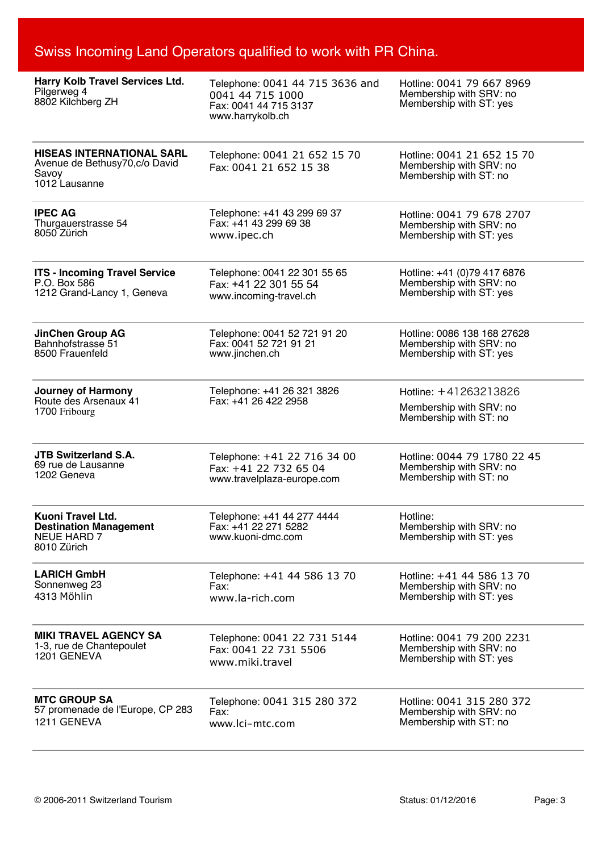| Harry Kolb Travel Services Ltd.<br>Pilgerweg 4<br>8802 Kilchberg ZH                          | Telephone: 0041 44 715 3636 and<br>0041 44 715 1000<br>Fax: 0041 44 715 3137<br>www.harrykolb.ch | Hotline: 0041 79 667 8969<br>Membership with SRV: no<br>Membership with ST: yes |
|----------------------------------------------------------------------------------------------|--------------------------------------------------------------------------------------------------|---------------------------------------------------------------------------------|
| <b>HISEAS INTERNATIONAL SARL</b><br>Avenue de Bethusy70, c/o David<br>Savoy<br>1012 Lausanne | Telephone: 0041 21 652 15 70<br>Fax: 0041 21 652 15 38                                           | Hotline: 0041 21 652 15 70<br>Membership with SRV: no<br>Membership with ST: no |
| <b>IPEC AG</b>                                                                               | Telephone: +41 43 299 69 37                                                                      | Hotline: 0041 79 678 2707                                                       |
| Thurgauerstrasse 54                                                                          | Fax: +41 43 299 69 38                                                                            | Membership with SRV: no                                                         |
| 8050 Zürich                                                                                  | www.ipec.ch                                                                                      | Membership with ST: yes                                                         |
| <b>ITS - Incoming Travel Service</b>                                                         | Telephone: 0041 22 301 55 65                                                                     | Hotline: +41 (0)79 417 6876                                                     |
| P.O. Box 586                                                                                 | Fax: +41 22 301 55 54                                                                            | Membership with SRV: no                                                         |
| 1212 Grand-Lancy 1, Geneva                                                                   | www.incoming-travel.ch                                                                           | Membership with ST: yes                                                         |
| <b>JinChen Group AG</b>                                                                      | Telephone: 0041 52 721 91 20                                                                     | Hotline: 0086 138 168 27628                                                     |
| Bahnhofstrasse 51                                                                            | Fax: 0041 52 721 91 21                                                                           | Membership with SRV: no                                                         |
| 8500 Frauenfeld                                                                              | www.jinchen.ch                                                                                   | Membership with ST: yes                                                         |
| <b>Journey of Harmony</b><br>Route des Arsenaux 41<br>1700 Fribourg                          | Telephone: +41 26 321 3826<br>Fax: +41 26 422 2958                                               | Hotline: +41263213826<br>Membership with SRV: no<br>Membership with ST: no      |
| <b>JTB Switzerland S.A.</b>                                                                  | Telephone: +41 22 716 34 00                                                                      | Hotline: 0044 79 1780 22 45                                                     |
| 69 rue de Lausanne                                                                           | Fax: +41 22 732 65 04                                                                            | Membership with SRV: no                                                         |
| 1202 Geneva                                                                                  | www.travelplaza-europe.com                                                                       | Membership with ST: no                                                          |
| Kuoni Travel Ltd.<br><b>Destination Management</b><br>NEUE HARD 7<br>8010 Zürich             | Telephone: +41 44 277 4444<br>Fax: +41 22 271 5282<br>www.kuoni-dmc.com                          | Hotline:<br>Membership with SRV: no<br>Membership with ST: yes                  |
| <b>LARICH GmbH</b>                                                                           | Telephone: +41 44 586 13 70                                                                      | Hotline: +41 44 586 13 70                                                       |
| Sonnenweg 23                                                                                 | Fax:                                                                                             | Membership with SRV: no                                                         |
| 4313 Möhlin                                                                                  | www.la-rich.com                                                                                  | Membership with ST: yes                                                         |
| <b>MIKI TRAVEL AGENCY SA</b>                                                                 | Telephone: 0041 22 731 5144                                                                      | Hotline: 0041 79 200 2231                                                       |
| 1-3, rue de Chantepoulet                                                                     | Fax: 0041 22 731 5506                                                                            | Membership with SRV: no                                                         |
| 1201 GENEVA                                                                                  | www.miki.travel                                                                                  | Membership with ST: yes                                                         |
| <b>MTC GROUP SA</b>                                                                          | Telephone: 0041 315 280 372                                                                      | Hotline: 0041 315 280 372                                                       |
| 57 promenade de l'Europe, CP 283                                                             | Fax:                                                                                             | Membership with SRV: no                                                         |
| 1211 GENEVA                                                                                  | www.lci-mtc.com                                                                                  | Membership with ST: no                                                          |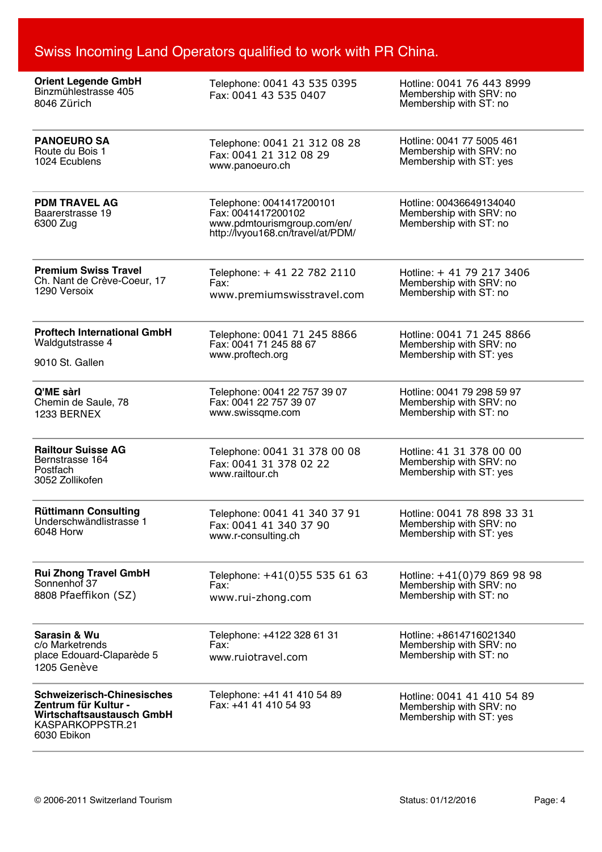| <b>Orient Legende GmbH</b><br>Binzmühlestrasse 405<br>8046 Zürich                                                         | Telephone: 0041 43 535 0395<br>Fax: 0041 43 535 0407                                                               | Hotline: 0041 76 443 8999<br>Membership with SRV: no<br>Membership with ST: no   |
|---------------------------------------------------------------------------------------------------------------------------|--------------------------------------------------------------------------------------------------------------------|----------------------------------------------------------------------------------|
| <b>PANOEURO SA</b>                                                                                                        | Telephone: 0041 21 312 08 28                                                                                       | Hotline: 0041 77 5005 461                                                        |
| Route du Bois 1                                                                                                           | Fax: 0041 21 312 08 29                                                                                             | Membership with SRV: no                                                          |
| 1024 Ecublens                                                                                                             | www.panoeuro.ch                                                                                                    | Membership with ST: yes                                                          |
| <b>PDM TRAVEL AG</b><br>Baarerstrasse 19<br>6300 Zug                                                                      | Telephone: 0041417200101<br>Fax: 0041417200102<br>www.pdmtourismgroup.com/en/<br>http://lvyou168.cn/travel/at/PDM/ | Hotline: 00436649134040<br>Membership with SRV: no<br>Membership with ST: no     |
| <b>Premium Swiss Travel</b>                                                                                               | Telephone: + 41 22 782 2110                                                                                        | Hotline: + 41 79 217 3406                                                        |
| Ch. Nant de Crève-Coeur, 17                                                                                               | Fax:                                                                                                               | Membership with SRV: no                                                          |
| 1290 Versoix                                                                                                              | www.premiumswisstravel.com                                                                                         | Membership with ST: no                                                           |
| <b>Proftech International GmbH</b>                                                                                        | Telephone: 0041 71 245 8866                                                                                        | Hotline: 0041 71 245 8866                                                        |
| Waldgutstrasse 4                                                                                                          | Fax: 0041 71 245 88 67                                                                                             | Membership with SRV: no                                                          |
| 9010 St. Gallen                                                                                                           | www.proftech.org                                                                                                   | Membership with ST: yes                                                          |
| Q'ME sàrl                                                                                                                 | Telephone: 0041 22 757 39 07                                                                                       | Hotline: 0041 79 298 59 97                                                       |
| Chemin de Saule, 78                                                                                                       | Fax: 0041 22 757 39 07                                                                                             | Membership with SRV: no                                                          |
| 1233 BERNEX                                                                                                               | www.swissqme.com                                                                                                   | Membership with ST: no                                                           |
| <b>Railtour Suisse AG</b><br>Bernstrasse 164<br>Postfach<br>3052 Zollikofen                                               | Telephone: 0041 31 378 00 08<br>Fax: 0041 31 378 02 22<br>www.railtour.ch                                          | Hotline: 41 31 378 00 00<br>Membership with SRV: no<br>Membership with ST: yes   |
| <b>Rüttimann Consulting</b>                                                                                               | Telephone: 0041 41 340 37 91                                                                                       | Hotline: 0041 78 898 33 31                                                       |
| Underschwändlistrasse 1                                                                                                   | Fax: 0041 41 340 37 90                                                                                             | Membership with SRV: no                                                          |
| 6048 Horw                                                                                                                 | www.r-consulting.ch                                                                                                | Membership with ST: yes                                                          |
| <b>Rui Zhong Travel GmbH</b>                                                                                              | Telephone: +41(0)55 535 61 63                                                                                      | Hotline: +41(0)79 869 98 98                                                      |
| Sonnenhof 37                                                                                                              | Fax:                                                                                                               | Membership with SRV: no                                                          |
| 8808 Pfaeffikon (SZ)                                                                                                      | www.rui-zhong.com                                                                                                  | Membership with ST: no                                                           |
| Sarasin & Wu<br>c/o Marketrends<br>place Edouard-Claparède 5<br>1205 Genève                                               | Telephone: +4122 328 61 31<br>Fax:<br>www.ruiotravel.com                                                           | Hotline: +8614716021340<br>Membership with SRV: no<br>Membership with ST: no     |
| <b>Schweizerisch-Chinesisches</b><br>Zentrum für Kultur -<br>Wirtschaftsaustausch GmbH<br>KASPARKOPPSTR.21<br>6030 Ebikon | Telephone: +41 41 410 54 89<br>Fax: +41 41 410 54 93                                                               | Hotline: 0041 41 410 54 89<br>Membership with SRV: no<br>Membership with ST: yes |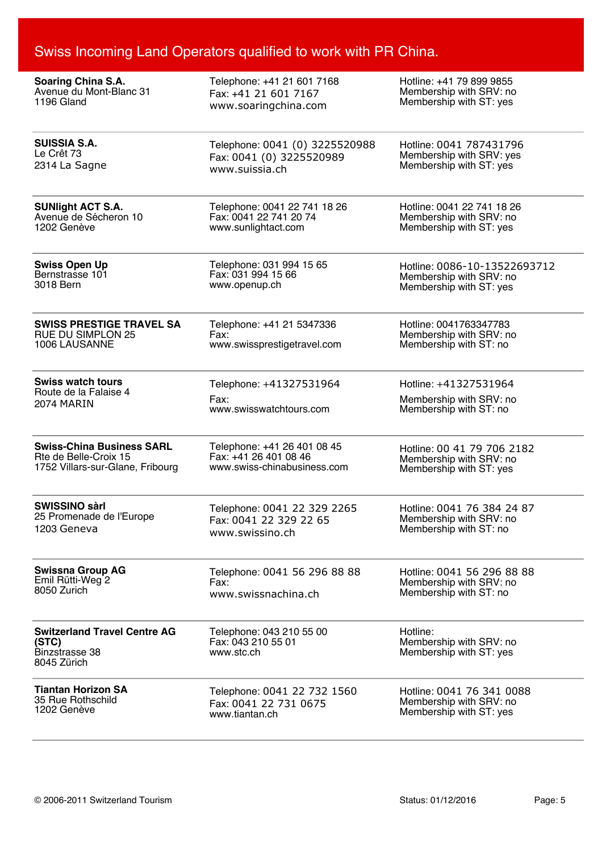| <b>Soaring China S.A.</b>                                                            | Telephone: +41 21 601 7168                                   | Hotline: +41 79 899 9855                                       |
|--------------------------------------------------------------------------------------|--------------------------------------------------------------|----------------------------------------------------------------|
| Avenue du Mont-Blanc 31                                                              | Fax: +41 21 601 7167                                         | Membership with SRV: no                                        |
| 1196 Gland                                                                           | www.soaringchina.com                                         | Membership with ST: yes                                        |
| <b>SUISSIA S.A.</b>                                                                  | Telephone: 0041 (0) 3225520988                               | Hotline: 0041 787431796                                        |
| Le Crêt 73                                                                           | Fax: 0041 (0) 3225520989                                     | Membership with SRV: yes                                       |
| 2314 La Sagne                                                                        | www.suissia.ch                                               | Membership with ST: yes                                        |
| <b>SUNIight ACT S.A.</b>                                                             | Telephone: 0041 22 741 18 26                                 | Hotline: 0041 22 741 18 26                                     |
| Avenue de Sécheron 10                                                                | Fax: 0041 22 741 20 74                                       | Membership with SRV: no                                        |
| 1202 Genève                                                                          | www.sunlightact.com                                          | Membership with ST: yes                                        |
| <b>Swiss Open Up</b>                                                                 | Telephone: 031 994 15 65                                     | Hotline: 0086-10-13522693712                                   |
| Bernstrasse 101                                                                      | Fax: 031 994 15 66                                           | Membership with SRV: no                                        |
| 3018 Bern                                                                            | www.openup.ch                                                | Membership with ST: yes                                        |
| <b>SWISS PRESTIGE TRAVEL SA</b>                                                      | Telephone: +41 21 5347336                                    | Hotline: 0041763347783                                         |
| <b>RUE DU SIMPLON 25</b>                                                             | Fax:                                                         | Membership with SRV: no                                        |
| 1006 LAUSANNE                                                                        | www.swissprestigetravel.com                                  | Membership with ST: no                                         |
| <b>Swiss watch tours</b>                                                             | Telephone: +41327531964                                      | Hotline: +41327531964                                          |
| Route de la Falaise 4                                                                | Fax:                                                         | Membership with SRV: no                                        |
| 2074 MARIN                                                                           | www.swisswatchtours.com                                      | Membership with ST: no                                         |
| <b>Swiss-China Business SARL</b>                                                     | Telephone: +41 26 401 08 45                                  | Hotline: 00 41 79 706 2182                                     |
| Rte de Belle-Croix 15                                                                | Fax: +41 26 401 08 46                                        | Membership with SRV: no                                        |
| 1752 Villars-sur-Glane, Fribourg                                                     | www.swiss-chinabusiness.com                                  | Membership with ST: yes                                        |
| <b>SWISSINO sàrl</b>                                                                 | Telephone: 0041 22 329 2265                                  | Hotline: 0041 76 384 24 87                                     |
| 25 Promenade de l'Europe                                                             | Fax: 0041 22 329 22 65                                       | Membership with SRV: no                                        |
| 1203 Geneva                                                                          | www.swissino.ch                                              | Membership with ST: no                                         |
| <b>Swissna Group AG</b>                                                              | Telephone: 0041 56 296 88 88                                 | Hotline: 0041 56 296 88 88                                     |
| Emil Rütti-Weg 2                                                                     | Fax:                                                         | Membership with SRV: no                                        |
| 8050 Zurich                                                                          | www.swissnachina.ch                                          | Membership with ST: no                                         |
| <b>Switzerland Travel Centre AG</b><br>(STC)<br><b>Binzstrasse 38</b><br>8045 Zürich | Telephone: 043 210 55 00<br>Fax: 043 210 55 01<br>www.stc.ch | Hotline:<br>Membership with SRV: no<br>Membership with ST: yes |
| <b>Tiantan Horizon SA</b>                                                            | Telephone: 0041 22 732 1560                                  | Hotline: 0041 76 341 0088                                      |
| 35 Rue Rothschild                                                                    | Fax: 0041 22 731 0675                                        | Membership with SRV: no                                        |
| 1202 Genève                                                                          | www.tiantan.ch                                               | Membership with ST: yes                                        |